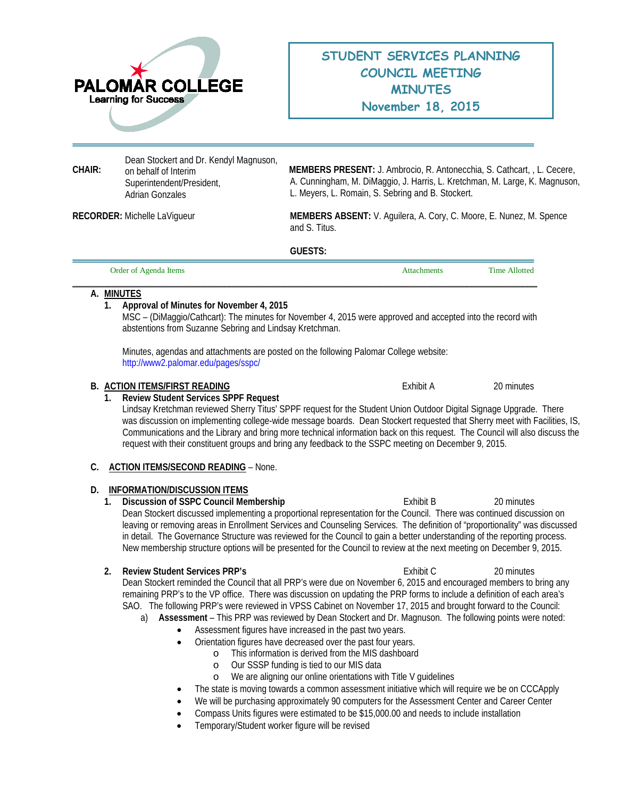

# **STUDENT SERVICES PLANNING COUNCIL MEETING MINUTES November 18, 2015**

Dean Stockert and Dr. Kendyl Magnuson, on behalf of Interim Superintendent/President, Adrian Gonzales

**CHAIR: MEMBERS PRESENT:** J. Ambrocio, R. Antonecchia, S. Cathcart, , L. Cecere, A. Cunningham, M. DiMaggio, J. Harris, L. Kretchman, M. Large, K. Magnuson, L. Meyers, L. Romain, S. Sebring and B. Stockert.

**RECORDER:** Michelle LaVigueur **MEMBERS ABSENT:** V. Aguilera, A. Cory, C. Moore, E. Nunez, M. Spence and S. Titus.

**GUESTS:** 

| Order of Agenda Items | <b>Attachments</b> | <b>Time Allotted</b> |
|-----------------------|--------------------|----------------------|
|                       |                    |                      |

## **A. MINUTES**

## **1. Approval of Minutes for November 4, 2015**

MSC – (DiMaggio/Cathcart): The minutes for November 4, 2015 were approved and accepted into the record with abstentions from Suzanne Sebring and Lindsay Kretchman.

Minutes, agendas and attachments are posted on the following Palomar College website: <http://www2.palomar.edu/pages/sspc/>

#### **B. ACTION ITEMS/FIRST READING Exhibit A** 20 minutes

#### **1. Review Student Services SPPF Request**

Lindsay Kretchman reviewed Sherry Titus' SPPF request for the Student Union Outdoor Digital Signage Upgrade. There was discussion on implementing college-wide message boards. Dean Stockert requested that Sherry meet with Facilities, IS, Communications and the Library and bring more technical information back on this request. The Council will also discuss the request with their constituent groups and bring any feedback to the SSPC meeting on December 9, 2015.

## **C. ACTION ITEMS/SECOND READING** – None.

## **D. INFORMATION/DISCUSSION ITEMS**

**1. Discussion of SSPC Council Membership 
<b>Exhibit B Exhibit B Exhibit B Exhibit B Exhibit B Exhibit B Exhibit B Exhibit B Exhibit B Exhibit B Exhibit B Exhibit B Exhibit B Exhibit B Exhibit B** Dean Stockert discussed implementing a proportional representation for the Council. There was continued discussion on leaving or removing areas in Enrollment Services and Counseling Services. The definition of "proportionality" was discussed in detail. The Governance Structure was reviewed for the Council to gain a better understanding of the reporting process. New membership structure options will be presented for the Council to review at the next meeting on December 9, 2015.

#### **2. Review Student Services PRP's Exhibit C** 20 minutes

Dean Stockert reminded the Council that all PRP's were due on November 6, 2015 and encouraged members to bring any remaining PRP's to the VP office. There was discussion on updating the PRP forms to include a definition of each area's SAO. The following PRP's were reviewed in VPSS Cabinet on November 17, 2015 and brought forward to the Council:

- a) **Assessment** This PRP was reviewed by Dean Stockert and Dr. Magnuson. The following points were noted:
	- Assessment figures have increased in the past two years.
	- Orientation figures have decreased over the past four years.
		- o This information is derived from the MIS dashboard
		- o Our SSSP funding is tied to our MIS data<br>
		o We are aligning our online orientations wite
		- We are aligning our online orientations with Title V guidelines
	- The state is moving towards a common assessment initiative which will require we be on CCCApply
	- We will be purchasing approximately 90 computers for the Assessment Center and Career Center
	- Compass Units figures were estimated to be \$15,000.00 and needs to include installation
	- Temporary/Student worker figure will be revised